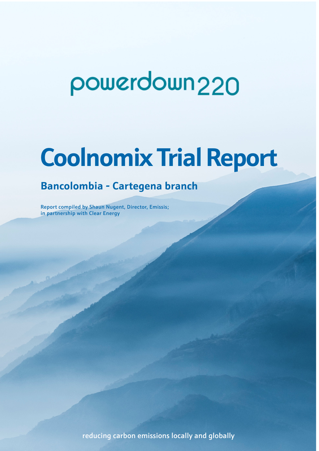# powerdown<sub>220</sub>

## **Coolnomix Trial Report**

## **Bancolombia - Cartegena branch**

Report compiled by Shaun Nugent, Director, Emissis; in partnership with Clear Energy

reducing carbon emissions locally and globally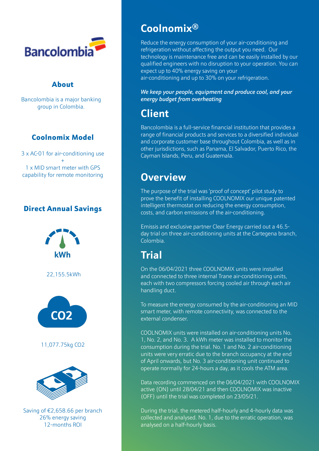

#### About

Bancolombia is a major banking group in Colombia.

#### Coolnomix Model

3 x AC-01 for air-conditioning use + 1 x MID smart meter with GPS capability for remote monitoring

#### Direct Annual Savings



## **Coolnomix®**

Reduce the energy consumption of your air-conditioning and refrigeration without affecting the output you need. Our technology is maintenance free and can be easily installed by our qualified engineers with no disruption to your operation. You can expect up to 40% energy saving on your air-conditioning and up to 30% on your refrigeration.

*We keep your people, equipment and produce cool, and your energy budget from overheating*

## **Client**

Bancolombia is a full-service financial institution that provides a range of financial products and services to a diversified individual and corporate customer base throughout Colombia, as well as in other jurisdictions, such as Panama, El Salvador, Puerto Rico, the Cayman Islands, Peru, and Guatemala.

## **Overview**

The purpose of the trial was 'proof of concept' pilot study to prove the benefit of installing COOLNOMIX our unique patented intelligent thermostat on reducing the energy consumption, costs, and carbon emissions of the air-conditioning.

Emissis and exclusive partner Clear Energy carried out a 46.5 day trial on three air-conditioning units at the Cartegena branch, Colombia.

## **Trial**

On the 06/04/2021 three COOLNOMIX units were installed and connected to three internal Trane air-conditioning units, each with two compressors forcing cooled air through each air handling duct.

To measure the energy consumed by the air-conditioning an MID smart meter, with remote connectivity, was connected to the external condenser.

COOLNOMIX units were installed on air-conditioning units No. 1, No. 2, and No. 3. A kWh meter was installed to monitor the consumption during the trial. No. 1 and No. 2 air-conditioning units were very erratic due to the branch occupancy at the end of April onwards, but No. 3 air-conditioning unit continued to operate normally for 24-hours a day, as it cools the ATM area.

Data recording commenced on the 06/04/2021 with COOLNOMIX active (ON) until 28/04/21 and then COOLNOMIX was inactive (OFF) until the trial was completed on 23/05/21.

During the trial, the metered half-hourly and 4-hourly data was collected and analysed. No. 1, due to the erratic operation, was analysed on a half-hourly basis.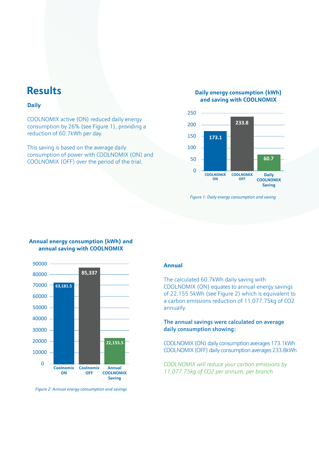### **Results**

#### **Daily**

COOLNOMIX active (ON) reduced daily energy consumption by 26% (see Figure 1), providing a reduction of 60.7kWh per day.

This saving is based on the average daily consumption of power with COOLNOMIX (ON) and COOLNOMIX (OFF) over the period of the trial.

#### **Daily energy consumption (kWh) and saving with COOLNOMIX**



*Figure 1: Daily energy consumption and saving*

#### **Annual energy consumption (kWh) and annual saving with COOLNOMIX**



*Figure 2: Annual energy consumption and savings*

#### **Annual**

The calculated 60.7kWh daily saving with COOLNOMIX (ON) equates to annual energy savings of 22,155.5kWh (see Figure 2) which is equivalent to a carbon emissions reduction of 11,077.75kg of CO2 annually.

#### The annual savings were calculated on average daily consumption showing:

COOLNOMIX (ON) daily consumption averages 173.1kWh COOLNOMIX (OFF) daily consumption averages 233.8kWh

*COOLNOMIX will reduce your carbon emissions by 11,077.75kg of CO2 per annum, per branch*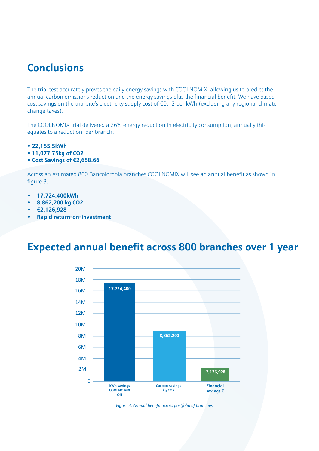## **Conclusions**

The trial test accurately proves the daily energy savings with COOLNOMIX, allowing us to predict the annual carbon emissions reduction and the energy savings plus the financial benefit. We have based cost savings on the trial site's electricity supply cost of €0.12 per kWh (excluding any regional climate change taxes).

The COOLNOMIX trial delivered a 26% energy reduction in electricity consumption; annually this equates to a reduction, per branch:

- **22,155.5kWh**
- **11,077.75kg of CO2**
- **Cost Savings of €2,658.66**

Across an estimated 800 Bancolombia branches COOLNOMIX will see an annual benefit as shown in figure 3.

- **• 17,724,400kWh**
- **• 8,862,200 kg CO2**
- **• €2,126,928**
- **• Rapid return-on-investment**

## **Expected annual benefit across 800 branches over 1 year**



*Figure 3: Annual benefit across portfolio of branches*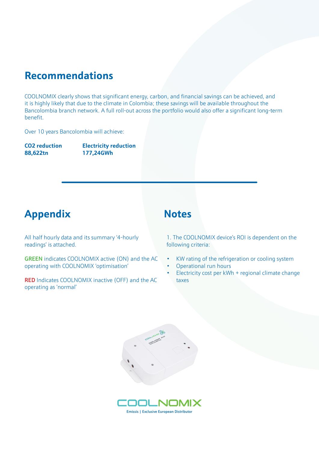## **Recommendations**

COOLNOMIX clearly shows that significant energy, carbon, and financial savings can be achieved, and it is highly likely that due to the climate in Colombia; these savings will be available throughout the Bancolombia branch network. A full roll-out across the portfolio would also offer a significant long-term benefit.

Over 10 years Bancolombia will achieve:

**CO2 reduction Electricity reduction 88,622tn 177,24GWh**

## Appendix **Notes**

All half hourly data and its summary '4-hourly readings' is attached.

GREEN indicates COOLNOMIX active (ON) and the AC operating with COOLNOMIX 'optimisation'

RED Indicates COOLNOMIX inactive (OFF) and the AC operating as 'normal'

1. The COOLNOMIX device's ROI is dependent on the following criteria:

- KW rating of the refrigeration or cooling system
- Operational run hours
- Electricity cost per kWh + regional climate change taxes